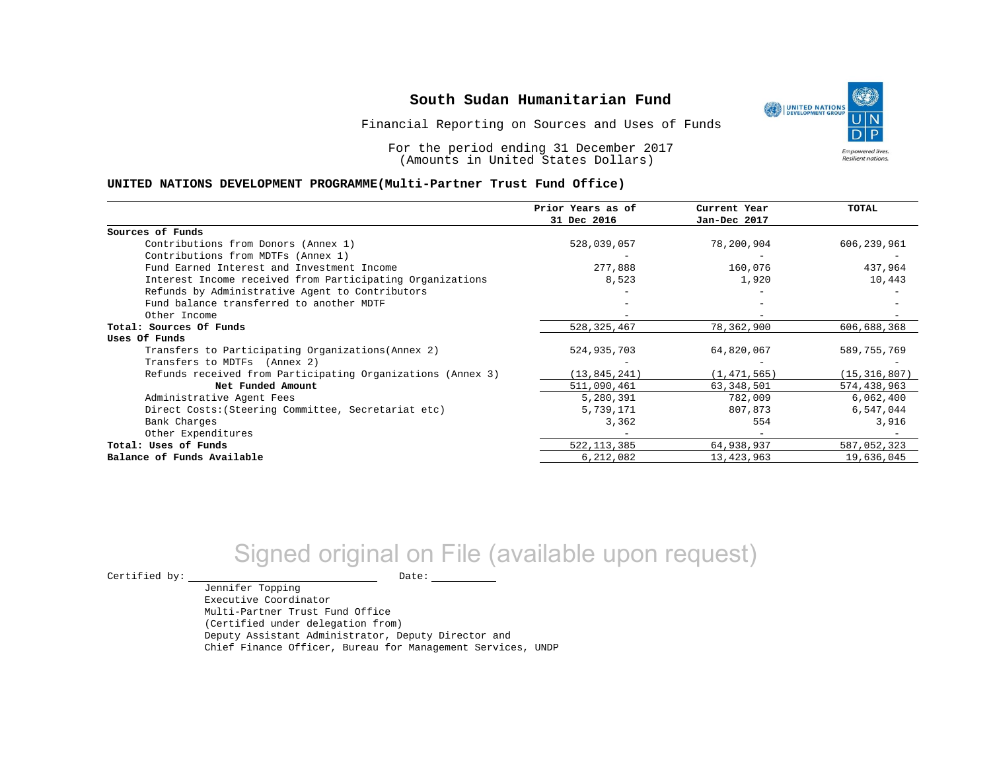Financial Reporting on Sources and Uses of Funds

For the period ending 31 December 2017 (Amounts in United States Dollars)

#### **UNITED NATIONS DEVELOPMENT PROGRAMME(Multi-Partner Trust Fund Office)**

|                                                             | Prior Years as of<br>31 Dec 2016 | Current Year<br>Jan-Dec 2017 | TOTAL          |
|-------------------------------------------------------------|----------------------------------|------------------------------|----------------|
|                                                             |                                  |                              |                |
| Sources of Funds                                            |                                  |                              |                |
| Contributions from Donors (Annex 1)                         | 528,039,057                      | 78,200,904                   | 606,239,961    |
| Contributions from MDTFs (Annex 1)                          |                                  |                              |                |
| Fund Earned Interest and Investment Income                  | 277,888                          | 160,076                      | 437,964        |
| Interest Income received from Participating Organizations   | 8,523                            | 1,920                        | 10,443         |
| Refunds by Administrative Agent to Contributors             |                                  |                              |                |
| Fund balance transferred to another MDTF                    |                                  |                              |                |
| Other Income                                                |                                  |                              |                |
| Total: Sources Of Funds                                     | 528, 325, 467                    | 78,362,900                   | 606,688,368    |
| Uses Of Funds                                               |                                  |                              |                |
| Transfers to Participating Organizations (Annex 2)          | 524,935,703                      | 64,820,067                   | 589,755,769    |
| Transfers to MDTFs (Annex 2)                                |                                  |                              |                |
| Refunds received from Participating Organizations (Annex 3) | (13, 845, 241)                   | (1, 471, 565)                | (15, 316, 807) |
| Net Funded Amount                                           | 511,090,461                      | 63, 348, 501                 | 574,438,963    |
| Administrative Agent Fees                                   | 5,280,391                        | 782,009                      | 6,062,400      |
| Direct Costs: (Steering Committee, Secretariat etc)         | 5,739,171                        | 807,873                      | 6,547,044      |
| Bank Charges                                                | 3,362                            | 554                          | 3,916          |
| Other Expenditures                                          |                                  |                              |                |
| Total: Uses of Funds                                        | 522, 113, 385                    | 64,938,937                   | 587,052,323    |
| Balance of Funds Available                                  | 6,212,082                        | 13, 423, 963                 | 19,636,045     |

# Signed original on File (available upon request)

 $\begin{picture}(180,180)(0,0) \put(0,0){\vector(1,0){180}} \put(15,0){\vector(1,0){180}} \put(15,0){\vector(1,0){180}} \put(15,0){\vector(1,0){180}} \put(15,0){\vector(1,0){180}} \put(15,0){\vector(1,0){180}} \put(15,0){\vector(1,0){180}} \put(15,0){\vector(1,0){180}} \put(15,0){\vector(1,0){180}} \put(15,0){\vector(1,0){180}} \put(15,0){\vector(1,0$ 

Jennifer Topping

Executive Coordinator Multi-Partner Trust Fund Office (Certified under delegation from) Deputy Assistant Administrator, Deputy Director and Chief Finance Officer, Bureau for Management Services, UNDP

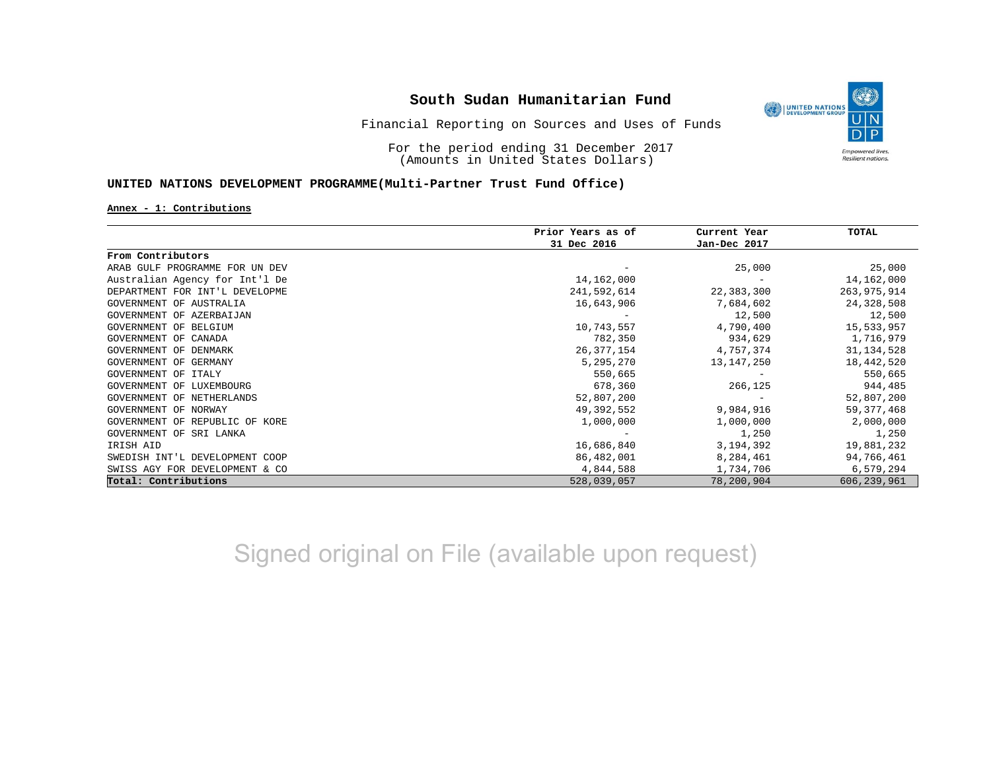

## Financial Reporting on Sources and Uses of Funds

For the period ending 31 December 2017 (Amounts in United States Dollars)

### **UNITED NATIONS DEVELOPMENT PROGRAMME(Multi-Partner Trust Fund Office)**

#### **Annex - 1: Contributions**

|                                | Prior Years as of | Current Year | TOTAL         |
|--------------------------------|-------------------|--------------|---------------|
|                                | 31 Dec 2016       | Jan-Dec 2017 |               |
| From Contributors              |                   |              |               |
| ARAB GULF PROGRAMME FOR UN DEV |                   | 25,000       | 25,000        |
| Australian Agency for Int'l De | 14,162,000        |              | 14,162,000    |
| DEPARTMENT FOR INT'L DEVELOPME | 241,592,614       | 22,383,300   | 263,975,914   |
| GOVERNMENT OF AUSTRALIA        | 16,643,906        | 7,684,602    | 24,328,508    |
| GOVERNMENT OF AZERBAIJAN       |                   | 12,500       | 12,500        |
| GOVERNMENT OF BELGIUM          | 10,743,557        | 4,790,400    | 15,533,957    |
| GOVERNMENT OF CANADA           | 782,350           | 934,629      | 1,716,979     |
| GOVERNMENT OF DENMARK          | 26,377,154        | 4,757,374    | 31, 134, 528  |
| GOVERNMENT OF GERMANY          | 5,295,270         | 13,147,250   | 18,442,520    |
| GOVERNMENT OF<br>ITALY         | 550,665           |              | 550,665       |
| GOVERNMENT OF LUXEMBOURG       | 678,360           | 266,125      | 944,485       |
| GOVERNMENT OF NETHERLANDS      | 52,807,200        |              | 52,807,200    |
| GOVERNMENT OF NORWAY           | 49,392,552        | 9,984,916    | 59, 377, 468  |
| GOVERNMENT OF REPUBLIC OF KORE | 1,000,000         | 1,000,000    | 2,000,000     |
| GOVERNMENT OF SRI LANKA        |                   | 1,250        | 1,250         |
| IRISH AID                      | 16,686,840        | 3,194,392    | 19,881,232    |
| SWEDISH INT'L DEVELOPMENT COOP | 86,482,001        | 8,284,461    | 94,766,461    |
| SWISS AGY FOR DEVELOPMENT & CO | 4,844,588         | 1,734,706    | 6,579,294     |
| Total: Contributions           | 528,039,057       | 78,200,904   | 606, 239, 961 |

Signed original on File (available upon request)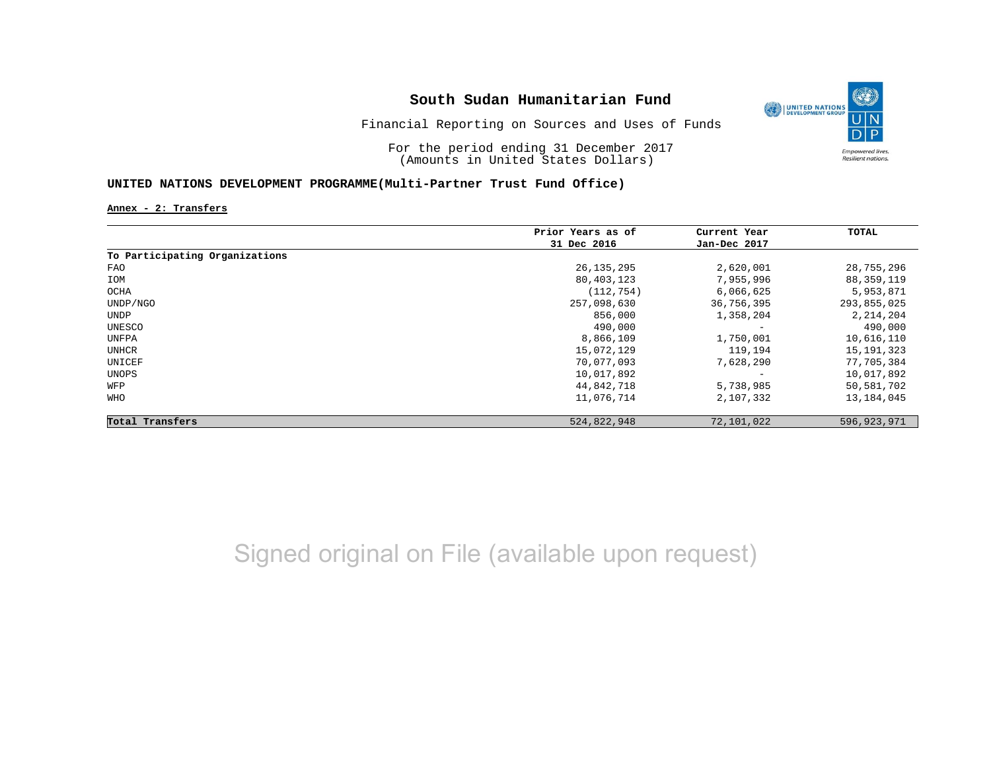

Financial Reporting on Sources and Uses of Funds

For the period ending 31 December 2017 (Amounts in United States Dollars)

### **UNITED NATIONS DEVELOPMENT PROGRAMME(Multi-Partner Trust Fund Office)**

**Annex - 2: Transfers**

|                                | Prior Years as of | Current Year      | TOTAL         |
|--------------------------------|-------------------|-------------------|---------------|
|                                | 31 Dec 2016       | Jan-Dec 2017      |               |
| To Participating Organizations |                   |                   |               |
| FAO                            | 26, 135, 295      | 2,620,001         | 28,755,296    |
| IOM                            | 80,403,123        | 7,955,996         | 88,359,119    |
| OCHA                           | (112, 754)        | 6,066,625         | 5,953,871     |
| UNDP/NGO                       | 257,098,630       | 36,756,395        | 293,855,025   |
| UNDP                           | 856,000           | 1,358,204         | 2, 214, 204   |
| UNESCO                         | 490,000           | $\qquad \qquad -$ | 490,000       |
| UNFPA                          | 8,866,109         | 1,750,001         | 10,616,110    |
| UNHCR                          | 15,072,129        | 119,194           | 15, 191, 323  |
| UNICEF                         | 70,077,093        | 7,628,290         | 77,705,384    |
| UNOPS                          | 10,017,892        |                   | 10,017,892    |
| WFP                            | 44,842,718        | 5,738,985         | 50,581,702    |
| WHO                            | 11,076,714        | 2,107,332         | 13,184,045    |
| Total Transfers                | 524,822,948       | 72,101,022        | 596, 923, 971 |

Signed original on File (available upon request)